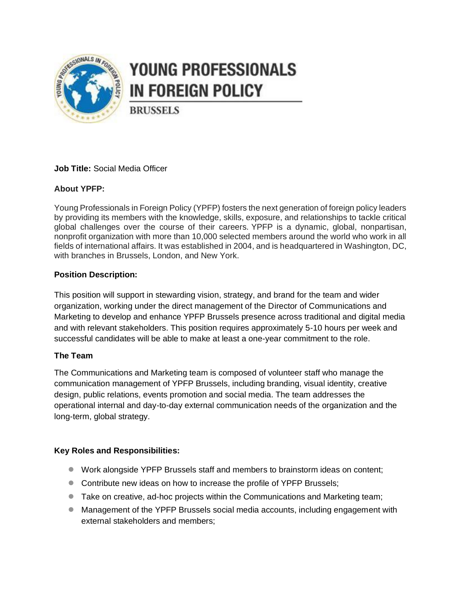

### YOUNG PROFESSIONALS **IN FOREIGN POLICY**

**BRUSSELS** 

#### **Job Title:** Social Media Officer

#### **About YPFP:**

Young Professionals in Foreign Policy (YPFP) fosters the next generation of foreign policy leaders by providing its members with the knowledge, skills, exposure, and relationships to tackle critical global challenges over the course of their careers. YPFP is a dynamic, global, nonpartisan, nonprofit organization with more than 10,000 selected members around the world who work in all fields of international affairs. It was established in 2004, and is headquartered in Washington, DC, with branches in Brussels, London, and New York.

#### **Position Description:**

This position will support in stewarding vision, strategy, and brand for the team and wider organization, working under the direct management of the Director of Communications and Marketing to develop and enhance YPFP Brussels presence across traditional and digital media and with relevant stakeholders. This position requires approximately 5-10 hours per week and successful candidates will be able to make at least a one-year commitment to the role.

#### **The Team**

The Communications and Marketing team is composed of volunteer staff who manage the communication management of YPFP Brussels, including branding, visual identity, creative design, public relations, events promotion and social media. The team addresses the operational internal and day-to-day external communication needs of the organization and the long-term, global strategy.

#### **Key Roles and Responsibilities:**

- Work alongside YPFP Brussels staff and members to brainstorm ideas on content;
- Contribute new ideas on how to increase the profile of YPFP Brussels;
- Take on creative, ad-hoc projects within the Communications and Marketing team;
- Management of the YPFP Brussels social media accounts, including engagement with external stakeholders and members;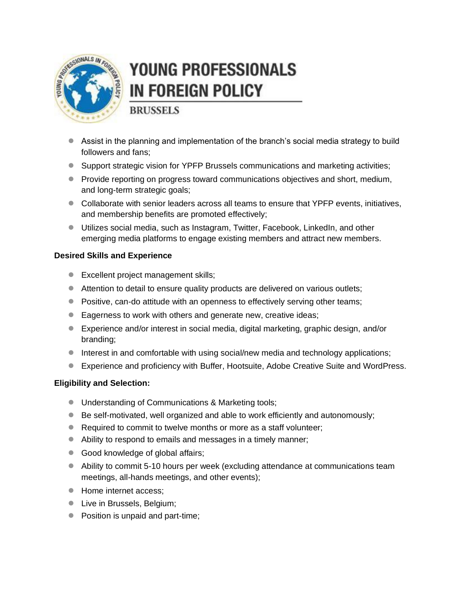

# **YOUNG PROFESSIONALS IN FOREIGN POLICY**

**BRUSSELS** 

- Assist in the planning and implementation of the branch's social media strategy to build followers and fans;
- Support strategic vision for YPFP Brussels communications and marketing activities;
- Provide reporting on progress toward communications objectives and short, medium, and long-term strategic goals;
- Collaborate with senior leaders across all teams to ensure that YPFP events, initiatives, and membership benefits are promoted effectively;
- Utilizes social media, such as Instagram, Twitter, Facebook, LinkedIn, and other emerging media platforms to engage existing members and attract new members.

#### **Desired Skills and Experience**

- Excellent project management skills;
- Attention to detail to ensure quality products are delivered on various outlets;
- Positive, can-do attitude with an openness to effectively serving other teams;
- Eagerness to work with others and generate new, creative ideas;
- Experience and/or interest in social media, digital marketing, graphic design, and/or branding;
- Interest in and comfortable with using social/new media and technology applications;
- Experience and proficiency with Buffer, Hootsuite, Adobe Creative Suite and WordPress.

#### **Eligibility and Selection:**

- Understanding of Communications & Marketing tools;
- Be self-motivated, well organized and able to work efficiently and autonomously;
- Required to commit to twelve months or more as a staff volunteer;
- Ability to respond to emails and messages in a timely manner;
- Good knowledge of global affairs;
- Ability to commit 5-10 hours per week (excluding attendance at communications team meetings, all-hands meetings, and other events);
- Home internet access:
- Live in Brussels, Belgium;
- Position is unpaid and part-time;